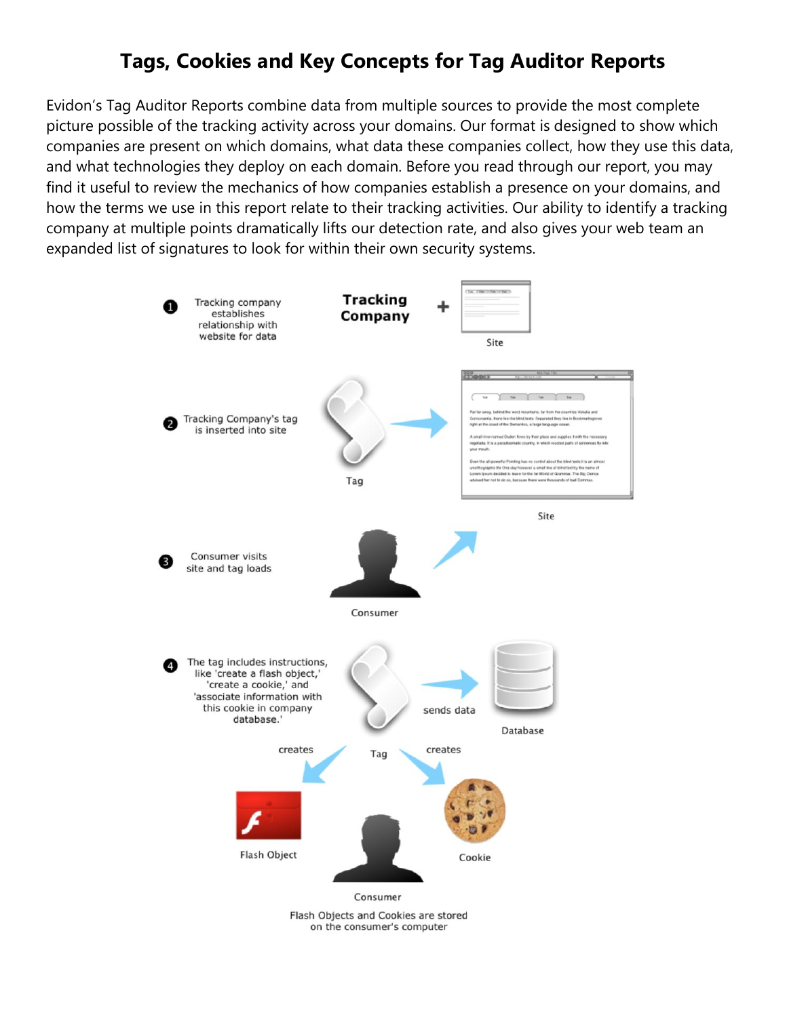## **Tags, Cookies and Key Concepts for Tag Auditor Reports**

Evidon's Tag Auditor Reports combine data from multiple sources to provide the most complete picture possible of the tracking activity across your domains. Our format is designed to show which companies are present on which domains, what data these companies collect, how they use this data, and what technologies they deploy on each domain. Before you read through our report, you may find it useful to review the mechanics of how companies establish a presence on your domains, and how the terms we use in this report relate to their tracking activities. Our ability to identify a tracking company at multiple points dramatically lifts our detection rate, and also gives your web team an expanded list of signatures to look for within their own security systems.

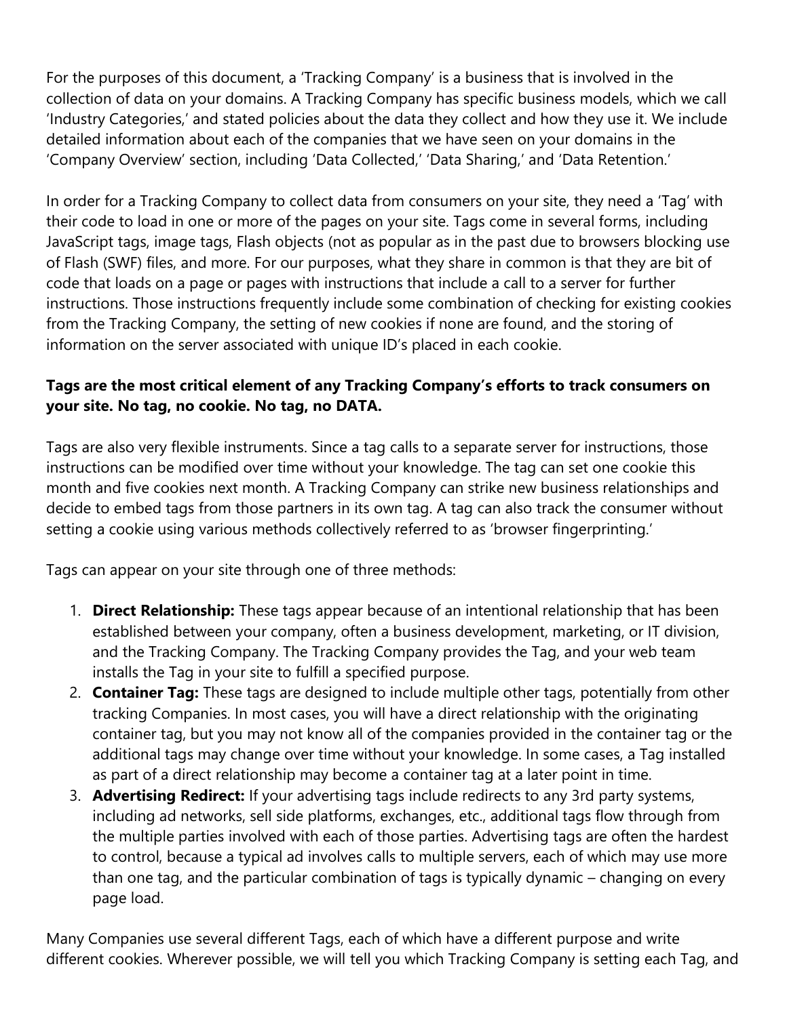For the purposes of this document, a 'Tracking Company' is a business that is involved in the collection of data on your domains. A Tracking Company has specific business models, which we call 'Industry Categories,' and stated policies about the data they collect and how they use it. We include detailed information about each of the companies that we have seen on your domains in the 'Company Overview' section, including 'Data Collected,' 'Data Sharing,' and 'Data Retention.'

In order for a Tracking Company to collect data from consumers on your site, they need a 'Tag' with their code to load in one or more of the pages on your site. Tags come in several forms, including JavaScript tags, image tags, Flash objects (not as popular as in the past due to browsers blocking use of Flash (SWF) files, and more. For our purposes, what they share in common is that they are bit of code that loads on a page or pages with instructions that include a call to a server for further instructions. Those instructions frequently include some combination of checking for existing cookies from the Tracking Company, the setting of new cookies if none are found, and the storing of information on the server associated with unique ID's placed in each cookie.

## **Tags are the most critical element of any Tracking Company's efforts to track consumers on your site. No tag, no cookie. No tag, no DATA.**

Tags are also very flexible instruments. Since a tag calls to a separate server for instructions, those instructions can be modified over time without your knowledge. The tag can set one cookie this month and five cookies next month. A Tracking Company can strike new business relationships and decide to embed tags from those partners in its own tag. A tag can also track the consumer without setting a cookie using various methods collectively referred to as 'browser fingerprinting.'

Tags can appear on your site through one of three methods:

- 1. **Direct Relationship:** These tags appear because of an intentional relationship that has been established between your company, often a business development, marketing, or IT division, and the Tracking Company. The Tracking Company provides the Tag, and your web team installs the Tag in your site to fulfill a specified purpose.
- 2. **Container Tag:** These tags are designed to include multiple other tags, potentially from other tracking Companies. In most cases, you will have a direct relationship with the originating container tag, but you may not know all of the companies provided in the container tag or the additional tags may change over time without your knowledge. In some cases, a Tag installed as part of a direct relationship may become a container tag at a later point in time.
- 3. **Advertising Redirect:** If your advertising tags include redirects to any 3rd party systems, including ad networks, sell side platforms, exchanges, etc., additional tags flow through from the multiple parties involved with each of those parties. Advertising tags are often the hardest to control, because a typical ad involves calls to multiple servers, each of which may use more than one tag, and the particular combination of tags is typically dynamic – changing on every page load.

Many Companies use several different Tags, each of which have a different purpose and write different cookies. Wherever possible, we will tell you which Tracking Company is setting each Tag, and